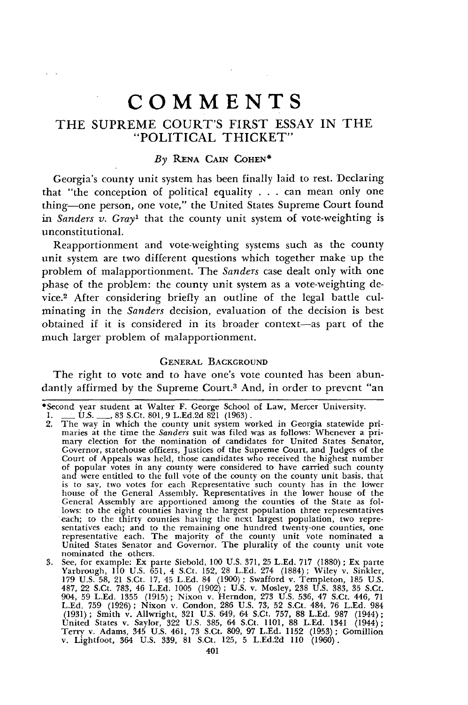# THE **SUPREME COURT'S** FIRST **ESSAY IN** THE "POLITICAL THICKET"

## *By* **RENA** CAIN COHEN\*

Georgia's county unit system has been finally laid to rest. Declaring that "the conception of political equality . . . can mean only one thing-one person, one vote," the United States Supreme Court found *in Sanders v. Gray1* that the county unit system of vote-weighting is unconstitutional.

Reapportionment and vote-weighting systems such as the county unit system are two different questions which together make up the problem of malapportionment. The *Sanders* case dealt only with one phase of the problem: the county unit system as a vote-weighting device.2 After considering briefly an outline of the legal battle culminating in the *Sanders* decision, evaluation of the decision is best obtained if it is considered in its broader context-as part of the much larger problem of malapportionment.

## **GENERAL** BACKGROUND

The right to vote and to have one's vote counted has been abundantly affirmed **by** the Supreme Court.3 And, in order to prevent "an

<sup>\*</sup>Second year student at Walter F. George School of Law, Mercer University. **1. - U.S. -, 83** S.Ct. **801, 9 L.Ed.2d 821 (1963).**

<sup>2.</sup> The way in which the county unit system worked in Georgia statewide primaries at the time the *Sanders* suit was filed was as follows: Whenever a primary election for the nomination of candidates for United States Senat Court of Appeals was held, those candidates who received the highest number of popular votes in any county were considered to have carried such county and were entitled to the full vote of the county on the county unit basis, that is to sav, two votes for each Representative such county has in the lower house of the General Assembly. Representatives in the lower house of the General Assembly are apportioned among the counties of the State as follows: to the eight counties having the largest population three representatives each; to the thirty counties having the next largest population, two re representative each. The majority of the county unit vote nominated a United States Senator and Governor. The plurality of the county unit vote

nominated the others.<br>
3. See, for example: Ex parte Siebold, 100 U.S. 371, 25 L.Ed. 717 (1880); Ex parte<br>
Yarbrough, 110 U.S. 651, 4 S.Ct. 152, 28 L.Ed. 274 (1884); Wiley v. Sinkler,<br>
179 U.S. 58, 21 S.Ct. 17, 45 L.Ed. 84 487, 22 S.Ct. 783, 46 L.Ed. 1005 (1902); U.S. v. Mosley, 238 U.S. 383, 35 S.Ct<br>904, 59 L.Ed. 1355 (1915); Nixon v. Herndon, 273 U.S. 536, 47 S.Ct. 446, 71<br>L.Ed. 759 (1926); Nixon v. Condon, 286 U.S. 73, 52 S.Ct. 484, 76 L. United States v. Saylor, 322 U.S. 385, 64 S.Ct. 1101, 88 L.Ed. 1341 (1944);<br>Terry v. Adams, 345 U.S. 461, 73 S.Ct. 809, 97 L.Ed. 1152 (1953); Gomillion<br>v. Lightfoot, 364 U.S. 339, 81 S.Ct. 125, 5 L.Ed.2d 110 (1960).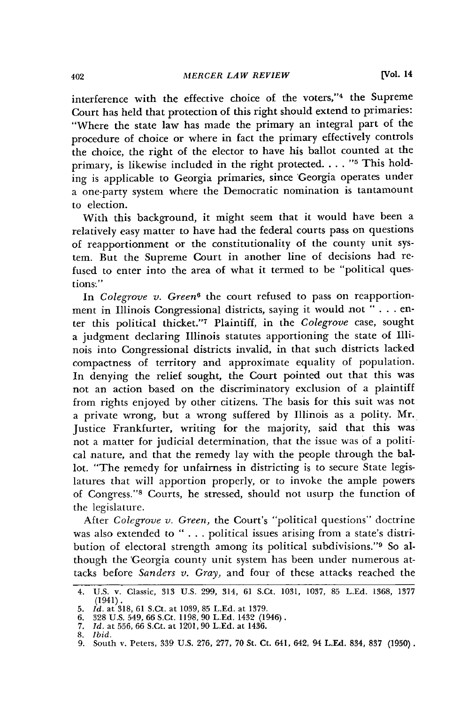interference with the effective choice of the voters,"<sup>4</sup> the Supreme Court has held that protection of this right should extend to primaries: "Where the state law has made the primary an integral part of the procedure of choice or where in fact the primary effectively controls the choice, the right of the elector to have his ballot counted at the primary, is likewise included in the right protected.  $\ldots$ . "<sup>5</sup> This holding is applicable to Georgia primaries, since 'Georgia operates under a one-party system where the Democratic nomination is tantamount to election.

With this background, it might seem that it would have been a relatively easy matter to have had the federal courts pass on questions of reapportionment or the constitutionality of the county unit system. But the Supreme Court in another line of decisions had refused to enter into the area of what it termed to be "political questions "

In *Colegrove v. Green6* the court refused to pass on reapportionment in Illinois Congressional districts, saying it would not " . . . enter this political thicket." Plaintiff, in the *Colegrove* case, sought a judgment declaring Illinois statutes apportioning the state of Illinois into Congressional districts invalid, in that such districts lacked compactness of territory and approximate equality of population. In denying the relief sought, the Court pointed out that this was not an action based on the discriminatory exclusion of a plaintiff from rights enjoyed by other citizens. The basis for this suit was not a private wrong, but a wrong suffered by Illinois as a polity. Mr. Justice Frankfurter, writing for the majority, said that this was not a matter for judicial determination, that the issue was of a political nature, and that the remedy lay with the people through the ballot. "The remedy for unfairness in districting is to secure State legislatures that will apportion properly, or to invoke the ample powers of Congress."<sup>8</sup> Courts, he stressed, should not usurp the function of the legislature.

After *Colegrove v. Green,* the Court's "political questions" doctrine was also extended to " . . . political issues arising from a state's distribution of electoral strength among its political subdivisions."<sup>9</sup> So although the 'Georgia county unit system has been under numerous attacks before *Sanders v. Gray,* and four of these attacks reached the

<sup>4.</sup> **U.S.** v. Classic, **313 U.S.** 299, 314, 61 S.Ct. **1031, 1037, 85 L.Ed. 1368, 1377** (1941).

**<sup>5.</sup>** *Id.* at **318, 61** S.Ct. at **1039, 85 L.Ed.** at **1379.**

**<sup>6. 328</sup> U.S.** 549, **66** S.Ct. **1198, 90 LEd.** 1432 (1946). **7.** *Id.* at **556, 66** S.Ct. at 1201, **90 LEd.** at 1436.

**<sup>8.</sup>** *Ibid.*

**<sup>9.</sup>** South v. Peters, **339 U.S. 276, 277, 70** St. Ct. 641, 642, 94 **L.Ed.** 834, **837 (1950).**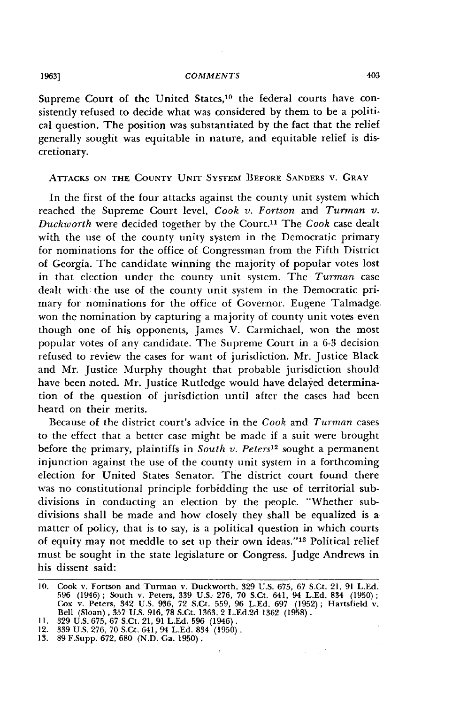Supreme Court of the United States,<sup>10</sup> the federal courts have consistently refused to decide what was considered by them to be a political question. The position was substantiated by the fact that the relief generally sought was equitable in nature, and equitable relief is discretionary.

## **ATTACKS ON THE** COUNTY **UNIT** SYSTEM BEFORE SANDERS **V.** GRAY

In the first of the four attacks against the county unit system which reached the Supreme Court level, *Cook v. Fortson* and *Turman* v. *Duckworth* were decided together by the Court.<sup>11</sup> The *Cook* case dealt with the use of the county unity system in the Democratic primary for nominations for the office of Congressman from the Fifth District of Georgia. The candidate winning the majority of popular votes lost in that election under the county unit system. The *Turman* case dealt with the use of the county unit system in the Democratic primary for nominations for the office of Governor. Eugene Talmadge won the nomination by capturing a majority of county unit votes even though one of his opponents, James V. Carmichael, won the most popular votes of any candidate. The Supreme Court in a 6-3 decision refused to review the cases for want of jurisdiction. Mr. Justice Black and Mr. Justice Murphy thought that probable jurisdiction should have been noted. Mr. Justice Rutledge would have delayed determination of the question of jurisdiction until after the cases had been heard on their merits.

Because of the district court's advice in the Cook and *Turman* cases to the effect that a better case might be made if a suit were brought before the primary, plaintiffs in *South v. Peters12* sought a permanent injunction against the use of the county unit system in a forthcoming election for United States Senator. The district court found there was no constitutional principle forbidding the use of territorial subdivisions in conducting an election by the people. "Whether subdivisions shall be made and how closely they shall be equalized is a matter of policy, that is to say, is a political question in which courts of equity may not meddle to set up their own ideas." 13 Political relief must be sought in the state legislature or Congress. Judge Andrews in his dissent said:

 $\sim 10^{10}$ 

**1963]**

<sup>10.</sup> Cook v. Fortson and Turman v. Duckworth, **329** U.S. 675, 67 S.Ct. 21, 91 L.Ed. 596 (1946); South v. Peters, 339 U.S. 276, 70 S.Ct. 641, 94 L.Ed. 834 (1950); Cox v. Peters, 342 U.S. 936, 72 S.Ct. 559, 96 L.Ed. 697 (1952); Hartsfield v. Bell (Sloan), 357 U.S. 916, 78 S.Ct. 1363, 2 L.Ed.2d 1362 (1958).

<sup>11. 329</sup> U.S. 675, 67 S.Ct. 21, 91 L.Ed. 596 (1946).<br>12. 339 U.S. 276, 70 S.Ct. 641, 94 L.Ed. 834 (1950)<br>13. 89 F.Supp. 672, 680 (N.D. Ga. 1950).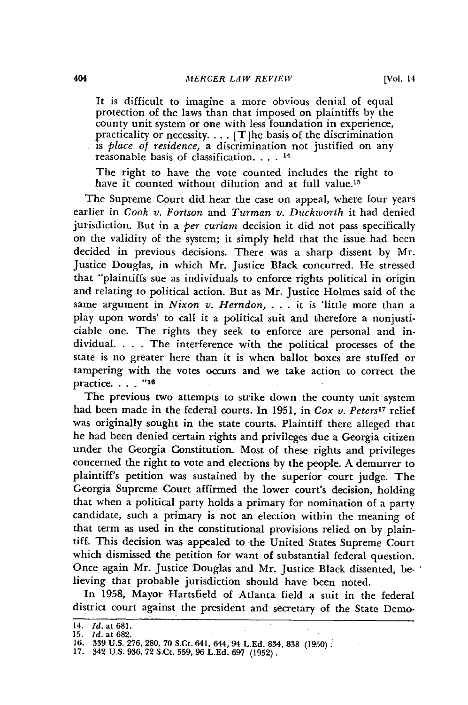It is difficult to imagine a more obvious denial of equal protection of the laws than that imposed on plaintiffs by the county unit system or one with less foundation in experience, practicality or necessity.... [T]he basis of the discrimination is *place of residence,* a discrimination not justified on any reasonable basis of classification **...** <sup>14</sup>

The right to have the vote counted includes the right to have it counted without dilution and at full value.<sup>15</sup>

The Supreme Court did hear the case on appeal, where four years earlier in *Cook v. Fortson* and *Turman v. Duckworth* it had denied jurisdiction. But in a *per curiam* decision it did not pass specifically on the validity of the system; it simply held that the issue had been decided in previous decisions. There was a sharp dissent by Mr. Justice Douglas, in which Mr. Justice Black concurred. He stressed that "plaintiffs sue as individuals to enforce rights political in origin and relating to political action. But as Mr. Justice Holmes said of the same argument in *Nixon v. Herndon,* . . . it is 'little more than a play upon words' to call it a political suit and therefore a nonjusticiable one. The rights they seek to enforce are personal and individual. . **.** . The interference with the political processes of the state is no greater here than it is when ballot boxes are stuffed or tampering with the votes occurs and we take action to correct the practice.  $\ldots$ . "<sup>16</sup>

The previous two attempts to strike down the county unit system had been made in the federal courts. In 1951, in *Cox v. Peters17* relief was originally sought in the state courts. Plaintiff there alleged that he had been denied certain rights and privileges due a Georgia citizen under the Georgia Constitution. Most of these rights and privileges concerned the right to vote and elections by the people. A demurrer to plaintiff's petition was sustained by the superior court judge. The Georgia Supreme Court affirmed the lower court's decision, holding that when a political party holds a primary for nomination of a party candidate, such a primary is not an election within the meaning of that term as used in the constitutional provisions relied on by plaintiff. This decision was appealed to the United States Supreme Court which dismissed the petition for want of substantial federal question. Once again Mr. Justice Douglas and Mr. Justice Black dissented, believing that probable jurisdiction should have been noted.

In 1958, Mayor Hartsfield of Atlanta field a suit in the federal district court against the president and secretary of the State Demo-

<sup>14.</sup> *Id.* at 681.<br>15. *Id.* at 682.<br>16. 339 U.S. 276, 280, 70 S.Ct. 641, 644, 94 L.Ed. 834, 838 (1950).

**<sup>17.</sup>** 342 **U.S. 936, 72** S.Ct. **559,** 96 **L.Ed. 697 (1952).**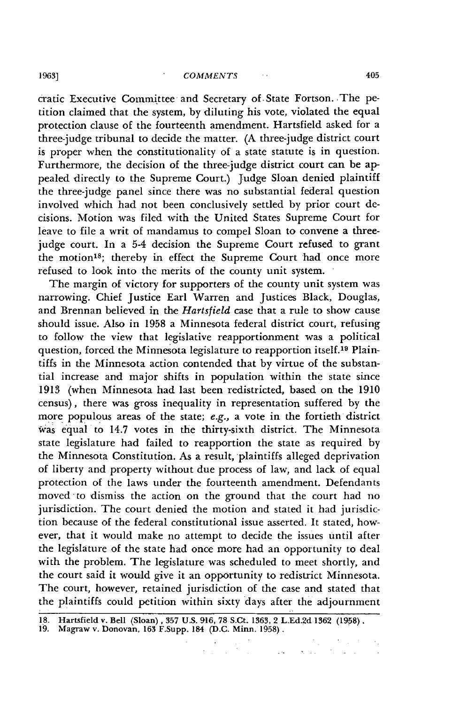#### **1963]** *COMMENTS '*

cratic Executive Committee and Secretary of. State Fortson. The petition claimed that the system, by diluting his vote, violated the equal protection clause of the fourteenth amendment. Hartsfield asked for a three-judge tribunal to decide the matter. (A three-judge district court is proper when the constitutionality of a state statute is in question. Furthermore, the decision of the three-judge district court can be appealed directly to the Supreme Court.) Judge Sloan denied plaintiff the three-judge panel since there was no substantial federal question involved which had not been conclusively settled by prior court decisions. Motion was filed with the United States Supreme Court for leave to file a writ of mandamus to compel Sloan to convene a threejudge court. In a 5-4 decision the Supreme Court refused to grant the motion's; thereby in effect the Supreme Court had once more refused to look into the merits of the county unit system.

The margin of victory for supporters of the county unit system was narrowing. Chief Justice Earl Warren and Justices Black, Douglas, and Brennan believed in the *Hartsfield* case that a rule to show cause should issue. Also in 1958 a Minnesota federal district court, refusing to follow the view that legislative reapportionment was a political question, forced the Minnesota legislature to reapportion itself.19 Plaintiffs in the Minnesota action contended that by virtue of the substantial increase and major shifts in population within the state since 1913 (when Minnesota had last been redistricted, based on the 1910 census), there was gross inequality in representation suffered by the more populous areas of the state; e.g., a vote in the fortieth district was equal to 14.7 votes in the thirty-sixth district. The Minnesota state legislature had failed to reapportion the state as required by the Minnesota Constitution. As a result, plaintiffs alleged deprivation of liberty and property without due process of law, and lack of equal protection of the laws under the fourteenth amendment. Defendants moved-to dismiss the action on the ground that the court had no jurisdiction. The court denied the motion and stated it had jurisdiction because of the federal constitutional issue asserted. It stated, however, that it would make no attempt to decide the issues until after the legislature of the state had once more had an opportunity to deal with the problem. The legislature was scheduled to meet shortly, and the court said it would give it an opportunity to redistrict Minnesota. The court, however, retained jurisdiction of the case and stated that the plaintiffs could petition within sixty days after the adjournment

ing a

 $\hat{S}_{\rm{eff}}$  ,  $\hat{S}_{\rm{eff}}$ 

 $\Delta$  and  $\Delta$ 

**<sup>18.</sup>** Hartsfield v. Bell (Sloan) , **357 U.S. 916, 78** S.Ct. **1363,** 2 **L.Ed.2d 1362 (1958).**

**<sup>19.</sup>** Magraw v. Donovan, **163** F.Supp. 184 **(D.C.** Minn. **1958).**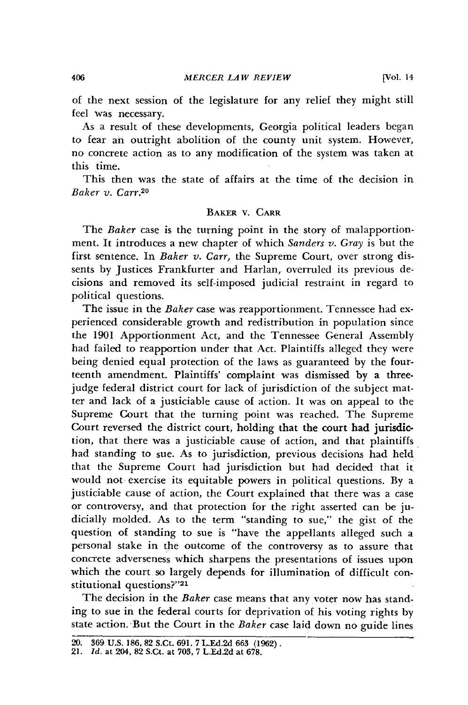of the next session of the legislature for any relief they might still feel was necessary.

As a result of these developments, Georgia political leaders began to fear an outright abolition of the county unit system. However, no concrete action as to any modification of the system was taken at this time.

This then was the state of affairs at the time of the decision in *Baker v. Carr.2 <sup>0</sup>*

# BAKER V. CARR

The *Baker* case is the turning point in the story of malapportionment. It introduces a new chapter of which *Sanders v. Gray* is but the first sentence. In *Baker v. Carr,* the Supreme Court, over strong dissents by Justices Frankfurter and Harlan, overruled its previous decisions and removed its self-imposed judicial restraint in regard to political questions.

The issue in the *Baker* case was reapportionment. Tennessee had experienced considerable growth and redistribution in population since the 1901 Apportionment Act, and the Tennessee General Assembly had failed to reapportion under that Act. Plaintiffs alleged they were being denied equal protection of the laws as guaranteed by the fourteenth amendment. Plaintiffs' complaint was dismissed by a threejudge federal district court for lack of jurisdiction of the subject matter and lack of a justiciable cause of action. It was on appeal to the Supreme Court that the turning point was reached. The Supreme Court reversed the district court, holding that the court had jurisdiction, that there was a justiciable cause of action, and that plaintiffs had standing to sue. As to jurisdiction, previous decisions had held that the Supreme Court had jurisdiction but had decided that it would not exercise its equitable powers in political questions. **By** a justiciable cause of action, the Court explained that there was a case or controversy, and that protection for the right asserted can be judicially molded. As to the term "standing to sue," the gist of the question of standing to sue is "have the appellants alleged such a personal stake in the outcome of the controversy as to assure that concrete adverseness which sharpens the presentations of issues upon which the court so largely depends for illumination of difficult constitutional questions?"<sup>21</sup>

The decision in the *Baker* case means that any voter now has standing to sue in the federal courts for deprivation of his voting rights **by** state action. But the Court in the *Baker* case laid down no guide lines

406

<sup>20.</sup> **369 U.S. 186. 82** S.Ct. **691, 7 L.Ed.2d 663 (1962).** 21. *Id.* at 204, **82** S.Ct. at **703, 7 L.Ed.2d** at **678.**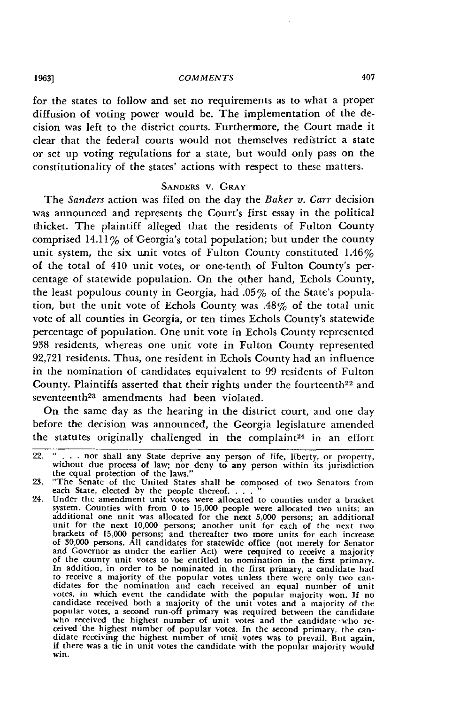for the states to follow and set no requirements as to what a proper diffusion of voting power would be. The implementation of the decision was left to the district courts. Furthermore, the Court made it clear that the federal courts would not themselves redistrict a state or set up voting regulations for a state, but would only pass on the constitutionality of the states' actions with respect to these matters.

## **SANDERS** V. GRAY

The *Sanders* action was filed on the day the *Baker v. Carr* decision was announced and represents the Court's first essay in the political thicket. The plaintiff alleged that the residents of Fulton County comprised  $14.11\%$  of Georgia's total population; but under the county unit system, the six unit votes of Fulton County constituted  $1.46\%$ of the total of 410 unit votes, or one-tenth of Fulton County's percentage of statewide population. On the other hand, Echols County, the least populous county in Georgia, had **.05%** of the State's population, but the unit vote of Echols County was  $.48\%$  of the total unit vote of all counties in Georgia, or ten times Echols County's statewide percentage of population. One unit vote in Echols County represented **938** residents, whereas one unit vote in Fulton County represented **92,721** residents. Thus, one resident in Echols County had an influence in the nomination of candidates equivalent to **99** residents of Fulton County. Plaintiffs asserted that their rights under the fourteenth<sup>22</sup> and seventeenth<sup>23</sup> amendments had been violated.

On the same day as the hearing in the district court, and one day before the decision was announced, the Georgia legislature amended the statutes originally challenged in the complaint<sup>24</sup> in an effort

**1963]**

<sup>22. &</sup>quot; . . . nor shall any State deprive any person of life, liberty, or property, without due process of law; nor deny to any person within its jurisdiction the equal protection of the laws."<br>23. "The Senate of the United

**<sup>23.</sup>** "The Senate of the United States shall be composed of two Senators from each State, elected by the people thereof. . . . <sup>"</sup><br>24. Under the amendment unit votes were allocated to counties under a bracket

system. Counties with from **0** to **15,000** people were allocated two units; an additional one unit was allocated for the next **5,000** persons; an additional unit for the next **10,000** persons; another unit **for** each of the next two brackets of **15,000** persons; and thereafter two more units for each increase of **30,000** persons. **All** candidates for statewide office (not merely for Senator and Governor as under the earlier Act) were required to receive a majority of the county unit votes to be entitled to nomination in the first primary. to receive a majority of the popular votes unless there were only two can-<br>didates for the nomination and each received an equal number of unit votes, in which event the candidate with the popular majority won. If no<br>candidate received both a majority of the unit votes and a majority of the<br>popular votes, a second run-off primary was required between the candidate who received the highest number of unit votes and the candidate who received the highest number of unit votes and the candidate who received the highest number of popular votes. In the second primary, the candidate receivi if there was a tie in unit votes the candidate with the popular majority would win.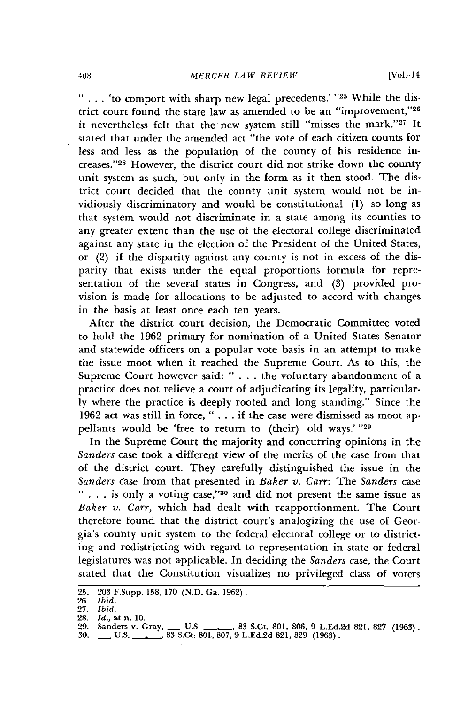**" . .** . 'to comport with sharp new legal precedents.' **"25** While the district court found the state law as amended to be an "improvement,"26 it nevertheless felt that the new system still "misses the mark."27 It stated that under the amended act "the vote of each citizen counts for less and less as the population of the county of his residence increases." 28 However, the district court did not strike down the county unit system as such, but only in the form as it then stood. The district court decided that the county unit system would not be invidiously discriminatory and would be constitutional (1) so long as that system would not discriminate in a state among its counties to any greater extent than the use of the electoral college discriminated against any state in the election of the President of the United States, or (2) if the disparity against any county is not in excess of the disparity that exists under the equal proportions formula for representation of the several states in Congress, and (3) provided provision is made for allocations to be adjusted to accord with changes in the basis at least once each ten years.

After the district court decision, the Democratic Committee voted to hold the 1962 primary for nomination of a United States Senator and statewide officers on a popular vote basis in an attempt to make the issue moot when it reached the Supreme Court. As to this, the Supreme Court however said: " . . . the voluntary abandonment of a practice does not relieve a court of adjudicating its legality, particularly where the practice is deeply rooted and long standing." Since the 1962 act was still in force, **"** ... if the case were dismissed as moot appellants would be 'free to return to (their) old ways.' **"29**

In the Supreme Court the majority and concurring opinions in the *Sanders* case took a different view of the merits of the case from that of the district court. They carefully distinguished the issue in the *Sanders* case from that presented in *Baker v. Carr:* The *Sanders* case **" . . .** is only a voting case," 30 and did not present the same issue as *Baker v. Carr,* which had dealt with reapportionment. The Court therefore found that the district court's analogizing the use of Georgia's county unit system to the federal electoral college or to districting and redistricting with regard to representation in state or federal legislatures was not applicable. In deciding the *Sanders* case, the Court stated that the Constitution visualizes no privileged class of voters

<sup>25. 203</sup> F.Supp. 158, 170 (N.D. Ga. 1962). *26. Ibid.*

<sup>27.</sup> *Ibid.*

<sup>28.</sup> *Id.,* at n. 10.

*<sup>29.</sup>* Sanders v. Gray, **-** U.S. - , 83 S.Ct. 801, 806, **9 L.Ed.2d 821, 827 (1963). 30. \_\_ U.S. \_** . **83** S.Ct, **801, 807, 9 L.Ed.2d 821, 829 (1963).**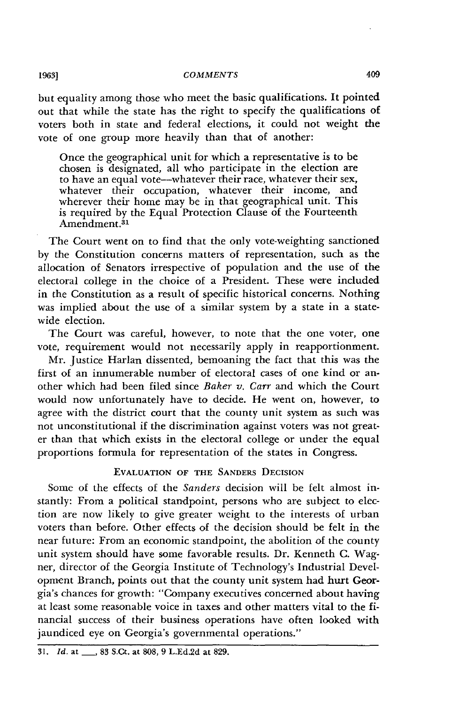but equality among those who meet the basic qualifications. It pointed out that while the state has the right to specify the qualifications of voters both in state and federal elections, it could not weight the vote of one group more heavily than that of another:

Once the geographical unit for which a representative is to be chosen is designated, all who participate in the election are to have an equal vote-whatever their race, whatever their sex, whatever their occupation, whatever their income, and wherever their home may be in that geographical unit. This is required by the Equal Protection Clause of the Fourteenth Amendment.<sup>31</sup>

The Court went on to find that the only vote-weighting sanctioned by the Constitution concerns matters of representation, such as the allocation of Senators irrespective of population and the use of the electoral college in the choice of a President. These were included in the Constitution as a result of specific historical concerns. Nothing was implied about the use of a similar system by a state in a statewide election.

The Court was careful, however, to note that the one voter, one vote, requirement would not necessarily apply in reapportionment.

Mr. Justice Harlan dissented, bemoaning the fact that this was the first of an innumerable number of electoral cases of one kind or another which had been filed since *Baker v. Carr* and which the Court would now unfortunately have to decide. He went on, however, to agree with the district court that the county unit system as such was not unconstitutional if the discrimination against voters was not greater than that which exists in the electoral college or under the equal proportions formula for representation of the states in Congress.

# **EVALUATION OF THE SANDERS DECISION**

Some of the effects of the *Sanders* decision will be felt almost instantly: From a political standpoint, persons who are subject to election are now likely to give greater weight to the interests of urban voters than before. Other effects of the decision should **be** felt in the near future: From an economic standpoint, the abolition of the county unit system should have some favorable results. Dr. Kenneth C. Wagner, director of the Georgia Institute of Technology's Industrial Development Branch, points out that the county unit system had hurt Georgia's chances for growth: "Company executives concerned about having at least some reasonable voice in taxes and other matters vital to the financial success of their business operations have often looked with jaundiced eye on Georgia's governmental operations."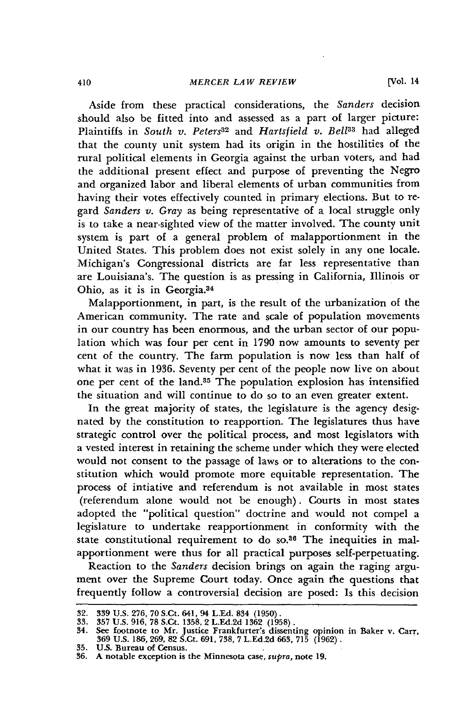Aside from these practical considerations, the *Sanders* decision should also be fitted into and assessed as a part of larger picture: Plaintiffs in *South v. Peters<sup>32</sup>* and *Hartsfield v. Bell<sup>33</sup> had alleged* that the county unit system had its origin in the hostilities of the rural political elements in Georgia against the urban voters, and had the additional present effect and purpose of preventing the Negro and organized labor and liberal elements of urban communities from having their votes effectively counted in primary elections. But to regard *Sanders v. Gray* as being representative of a local struggle only is to take a near-sighted view of the matter involved. The county unit system is part of a general problem of malapportionment in the United States. This problem does not exist solely in any one locale. Michigan's Congressional districts are far less representative than are Louisiana's. The question is as pressing in California, Illinois or Ohio, as it is in Georgia.<sup>34</sup>

Malapportionment, in part, is the result of the urbanization of the American community. The rate and scale of population movements in our country has been enormous, and the urban sector of our population which was four per cent in 1790 now amounts to seventy per cent of the country. The farm population is now less than half of what it was in 1936. Seventy per cent of the people now live on about one per cent of the land.<sup>35</sup> The population explosion has intensified the situation and will continue to do so to an even greater extent.

In the great majority of states, the legislature is the agency designated by the constitution to reapportion. The legislatures thus have strategic control over the political process, and most legislators with a vested interest in retaining the scheme under which they were elected would not consent to the passage of laws or to alterations to the constitution which would promote more equitable representation. The process of intiative and referendum is not available in most states (referendum alone would not be enough). Courts in most states adopted the "political question" doctrine and would not compel a legislature to undertake reapportionment in conformity with the state constitutional requirement to do so.36 The inequities in malapportionment were thus for all practical purposes self-perpetuating.

Reaction to the *Sanders* decision brings on again the raging argument over the Supreme Court today. Once again the questions that frequently follow a controversial decision are posed: Is this decision

<sup>32. 339</sup> U.S. 276, 70 S.Ct. 641, 94 L.Ed. 834 (1950).<br>33. 357 U.S. 916, 78 S.Ct. 1358, 2 L.Ed.2d 1362 (1958).<br>34. S<del>e</del>e footnote to Mr. Justice Frankfurter's dissenting opinion in Baker **v. Carr**. 369 U.S. 186,269, 82 S.Ct. 691, 738, 7 L.Ed.2d 663, 715 (1962).

**<sup>35.</sup> US. Bureau of Census. 36. A notable exception is the Minnesota case,** supra, **note 19.**